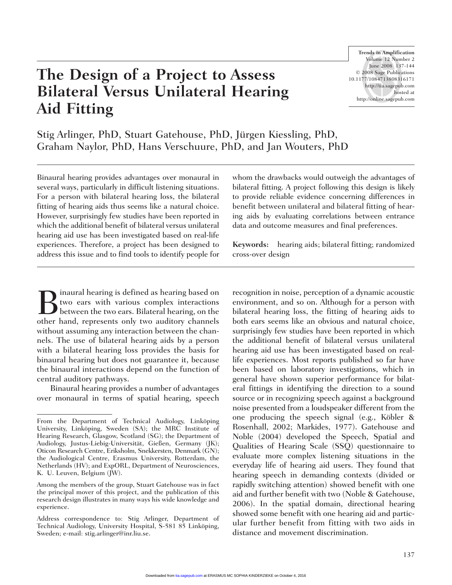# **The Design of a Project to Assess Bilateral Versus Unilateral Hearing Aid Fitting**

**Trends in Amplification** Volume 12 Number 2 June 2008 137-144 © 2008 Sage Publications 10.1177/1084713808316171 http://tia.sagepub.com hosted at http://online.sagepub.com

Stig Arlinger, PhD, Stuart Gatehouse, PhD, Jürgen Kiessling, PhD, Graham Naylor, PhD, Hans Verschuure, PhD, and Jan Wouters, PhD

Binaural hearing provides advantages over monaural in several ways, particularly in difficult listening situations. For a person with bilateral hearing loss, the bilateral fitting of hearing aids thus seems like a natural choice. However, surprisingly few studies have been reported in which the additional benefit of bilateral versus unilateral hearing aid use has been investigated based on real-life experiences. Therefore, a project has been designed to address this issue and to find tools to identify people for

Binaural hearing is defined as hearing based on<br>two ears with various complex interactions<br>between the two ears. Bilateral hearing, on the<br>other hand, represents only two auditory channels two ears with various complex interactions between the two ears. Bilateral hearing, on the other hand, represents only two auditory channels without assuming any interaction between the channels. The use of bilateral hearing aids by a person with a bilateral hearing loss provides the basis for binaural hearing but does not guarantee it, because the binaural interactions depend on the function of central auditory pathways.

Binaural hearing provides a number of advantages over monaural in terms of spatial hearing, speech whom the drawbacks would outweigh the advantages of bilateral fitting. A project following this design is likely to provide reliable evidence concerning differences in benefit between unilateral and bilateral fitting of hearing aids by evaluating correlations between entrance data and outcome measures and final preferences.

**Keywords:** hearing aids; bilateral fitting; randomized cross-over design

recognition in noise, perception of a dynamic acoustic environment, and so on. Although for a person with bilateral hearing loss, the fitting of hearing aids to both ears seems like an obvious and natural choice, surprisingly few studies have been reported in which the additional benefit of bilateral versus unilateral hearing aid use has been investigated based on reallife experiences. Most reports published so far have been based on laboratory investigations, which in general have shown superior performance for bilateral fittings in identifying the direction to a sound source or in recognizing speech against a background noise presented from a loudspeaker different from the one producing the speech signal (e.g., Köbler & Rosenhall, 2002; Markides, 1977). Gatehouse and Noble (2004) developed the Speech, Spatial and Qualities of Hearing Scale (SSQ) questionnaire to evaluate more complex listening situations in the everyday life of hearing aid users. They found that hearing speech in demanding contexts (divided or rapidly switching attention) showed benefit with one aid and further benefit with two (Noble & Gatehouse, 2006). In the spatial domain, directional hearing showed some benefit with one hearing aid and particular further benefit from fitting with two aids in distance and movement discrimination.

From the Department of Technical Audiology, Linköping University, Linköping, Sweden (SA); the MRC Institute of Hearing Research, Glasgow, Scotland (SG); the Department of Audiology, Justus-Liebig-Universität, Gießen, Germany (JK); Oticon Research Centre, Eriksholm, Snekkersten, Denmark (GN); the Audiological Centre, Erasmus University, Rotterdam, the Netherlands (HV); and ExpORL, Department of Neurosciences, K. U. Leuven, Belgium (JW).

Among the members of the group, Stuart Gatehouse was in fact the principal mover of this project, and the publication of this research design illustrates in many ways his wide knowledge and experience.

Address correspondence to: Stig Arlinger, Department of Technical Audiology, University Hospital, S-581 85 Linköping, Sweden; e-mail: stig.arlinger@inr.liu.se.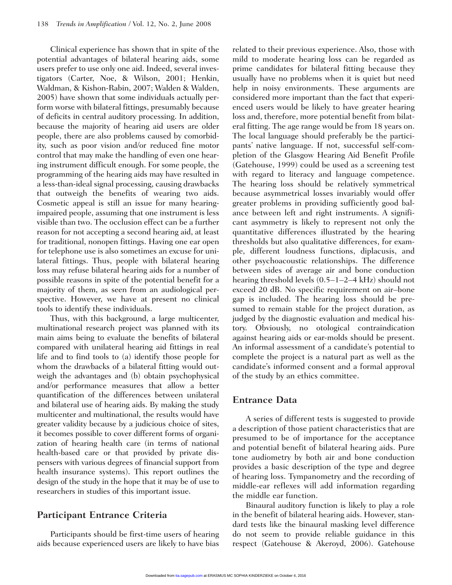Clinical experience has shown that in spite of the potential advantages of bilateral hearing aids, some users prefer to use only one aid. Indeed, several investigators (Carter, Noe, & Wilson, 2001; Henkin, Waldman, & Kishon-Rabin, 2007; Walden & Walden, 2005) have shown that some individuals actually perform worse with bilateral fittings, presumably because of deficits in central auditory processing. In addition, because the majority of hearing aid users are older people, there are also problems caused by comorbidity, such as poor vision and/or reduced fine motor control that may make the handling of even one hearing instrument difficult enough. For some people, the programming of the hearing aids may have resulted in a less-than-ideal signal processing, causing drawbacks that outweigh the benefits of wearing two aids. Cosmetic appeal is still an issue for many hearingimpaired people, assuming that one instrument is less visible than two. The occlusion effect can be a further reason for not accepting a second hearing aid, at least for traditional, nonopen fittings. Having one ear open for telephone use is also sometimes an excuse for unilateral fittings. Thus, people with bilateral hearing loss may refuse bilateral hearing aids for a number of possible reasons in spite of the potential benefit for a majority of them, as seen from an audiological perspective. However, we have at present no clinical tools to identify these individuals.

Thus, with this background, a large multicenter, multinational research project was planned with its main aims being to evaluate the benefits of bilateral compared with unilateral hearing aid fittings in real life and to find tools to (a) identify those people for whom the drawbacks of a bilateral fitting would outweigh the advantages and (b) obtain psychophysical and/or performance measures that allow a better quantification of the differences between unilateral and bilateral use of hearing aids. By making the study multicenter and multinational, the results would have greater validity because by a judicious choice of sites, it becomes possible to cover different forms of organization of hearing health care (in terms of national health-based care or that provided by private dispensers with various degrees of financial support from health insurance systems). This report outlines the design of the study in the hope that it may be of use to researchers in studies of this important issue.

#### **Participant Entrance Criteria**

Participants should be first-time users of hearing aids because experienced users are likely to have bias related to their previous experience. Also, those with mild to moderate hearing loss can be regarded as prime candidates for bilateral fitting because they usually have no problems when it is quiet but need help in noisy environments. These arguments are considered more important than the fact that experienced users would be likely to have greater hearing loss and, therefore, more potential benefit from bilateral fitting. The age range would be from 18 years on. The local language should preferably be the participants' native language. If not, successful self-completion of the Glasgow Hearing Aid Benefit Profile (Gatehouse, 1999) could be used as a screening test with regard to literacy and language competence. The hearing loss should be relatively symmetrical because asymmetrical losses invariably would offer greater problems in providing sufficiently good balance between left and right instruments. A significant asymmetry is likely to represent not only the quantitative differences illustrated by the hearing thresholds but also qualitative differences, for example, different loudness functions, diplacusis, and other psychoacoustic relationships. The difference between sides of average air and bone conduction hearing threshold levels (0.5–1–2–4 kHz) should not exceed 20 dB. No specific requirement on air–bone gap is included. The hearing loss should be presumed to remain stable for the project duration, as judged by the diagnostic evaluation and medical history. Obviously, no otological contraindication against hearing aids or ear-molds should be present. An informal assessment of a candidate's potential to complete the project is a natural part as well as the candidate's informed consent and a formal approval of the study by an ethics committee.

## **Entrance Data**

A series of different tests is suggested to provide a description of those patient characteristics that are presumed to be of importance for the acceptance and potential benefit of bilateral hearing aids. Pure tone audiometry by both air and bone conduction provides a basic description of the type and degree of hearing loss. Tympanometry and the recording of middle-ear reflexes will add information regarding the middle ear function.

Binaural auditory function is likely to play a role in the benefit of bilateral hearing aids. However, standard tests like the binaural masking level difference do not seem to provide reliable guidance in this respect (Gatehouse & Akeroyd, 2006). Gatehouse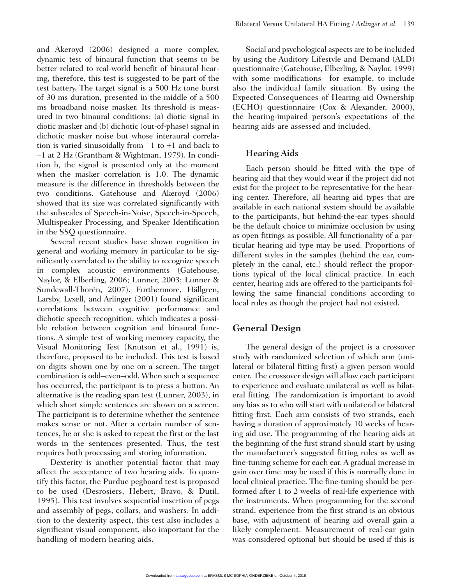and Akeroyd (2006) designed a more complex, dynamic test of binaural function that seems to be better related to real-world benefit of binaural hearing, therefore, this test is suggested to be part of the test battery. The target signal is a 500 Hz tone burst of 30 ms duration, presented in the middle of a 500 ms broadband noise masker. Its threshold is measured in two binaural conditions: (a) diotic signal in diotic masker and (b) dichotic (out-of-phase) signal in dichotic masker noise but whose interaural correlation is varied sinusoidally from –1 to +1 and back to –1 at 2 Hz (Grantham & Wightman, 1979). In condition b, the signal is presented only at the moment when the masker correlation is 1.0. The dynamic measure is the difference in thresholds between the two conditions. Gatehouse and Akeroyd (2006) showed that its size was correlated significantly with the subscales of Speech-in-Noise, Speech-in-Speech, Multispeaker Processing, and Speaker Identification in the SSQ questionnaire.

Several recent studies have shown cognition in general and working memory in particular to be significantly correlated to the ability to recognize speech in complex acoustic environments (Gatehouse, Naylor, & Elberling, 2006; Lunner, 2003; Lunner & Sundewall-Thorén, 2007). Furthermore, Hällgren, Larsby, Lyxell, and Arlinger (2001) found significant correlations between cognitive performance and dichotic speech recognition, which indicates a possible relation between cognition and binaural functions. A simple test of working memory capacity, the Visual Monitoring Test (Knutson et al., 1991) is, therefore, proposed to be included. This test is based on digits shown one by one on a screen. The target combination is odd–even–odd. When such a sequence has occurred, the participant is to press a button. An alternative is the reading span test (Lunner, 2003), in which short simple sentences are shown on a screen. The participant is to determine whether the sentence makes sense or not. After a certain number of sentences, he or she is asked to repeat the first or the last words in the sentences presented. Thus, the test requires both processing and storing information.

Dexterity is another potential factor that may affect the acceptance of two hearing aids. To quantify this factor, the Purdue pegboard test is proposed to be used (Desrosiers, Hebert, Bravo, & Dutil, 1995). This test involves sequential insertion of pegs and assembly of pegs, collars, and washers. In addition to the dexterity aspect, this test also includes a significant visual component, also important for the handling of modern hearing aids.

Social and psychological aspects are to be included by using the Auditory Lifestyle and Demand (ALD) questionnaire (Gatehouse, Elberling, & Naylor, 1999) with some modifications—for example, to include also the individual family situation. By using the Expected Consequences of Hearing aid Ownership (ECHO) questionnaire (Cox & Alexander, 2000), the hearing-impaired person's expectations of the hearing aids are assessed and included.

### **Hearing Aids**

Each person should be fitted with the type of hearing aid that they would wear if the project did not exist for the project to be representative for the hearing center. Therefore, all hearing aid types that are available in each national system should be available to the participants, but behind-the-ear types should be the default choice to minimize occlusion by using as open fittings as possible. All functionality of a particular hearing aid type may be used. Proportions of different styles in the samples (behind the ear, completely in the canal, etc.) should reflect the proportions typical of the local clinical practice. In each center, hearing aids are offered to the participants following the same financial conditions according to local rules as though the project had not existed.

# **General Design**

The general design of the project is a crossover study with randomized selection of which arm (unilateral or bilateral fitting first) a given person would enter. The crossover design will allow each participant to experience and evaluate unilateral as well as bilateral fitting. The randomization is important to avoid any bias as to who will start with unilateral or bilateral fitting first. Each arm consists of two strands, each having a duration of approximately 10 weeks of hearing aid use. The programming of the hearing aids at the beginning of the first strand should start by using the manufacturer's suggested fitting rules as well as fine-tuning scheme for each ear. A gradual increase in gain over time may be used if this is normally done in local clinical practice. The fine-tuning should be performed after 1 to 2 weeks of real-life experience with the instruments. When programming for the second strand, experience from the first strand is an obvious base, with adjustment of hearing aid overall gain a likely complement. Measurement of real-ear gain was considered optional but should be used if this is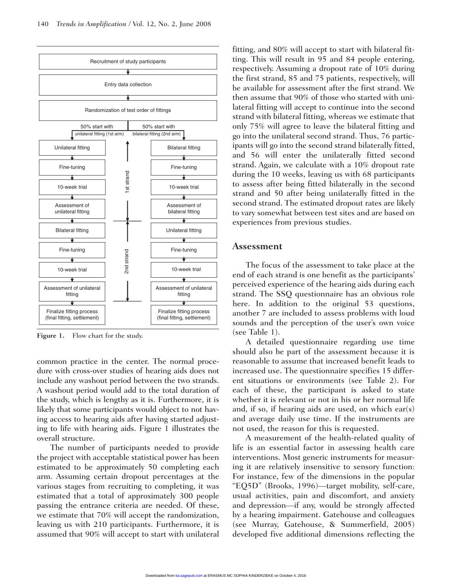

Figure 1. Flow chart for the study.

common practice in the center. The normal procedure with cross-over studies of hearing aids does not include any washout period between the two strands. A washout period would add to the total duration of the study, which is lengthy as it is. Furthermore, it is likely that some participants would object to not having access to hearing aids after having started adjusting to life with hearing aids. Figure 1 illustrates the overall structure.

The number of participants needed to provide the project with acceptable statistical power has been estimated to be approximately 50 completing each arm. Assuming certain dropout percentages at the various stages from recruiting to completing, it was estimated that a total of approximately 300 people passing the entrance criteria are needed. Of these, we estimate that 70% will accept the randomization, leaving us with 210 participants. Furthermore, it is assumed that 90% will accept to start with unilateral

fitting, and 80% will accept to start with bilateral fitting. This will result in 95 and 84 people entering, respectively. Assuming a dropout rate of 10% during the first strand, 85 and 75 patients, respectively, will be available for assessment after the first strand. We then assume that 90% of those who started with unilateral fitting will accept to continue into the second strand with bilateral fitting, whereas we estimate that only 75% will agree to leave the bilateral fitting and go into the unilateral second strand. Thus, 76 participants will go into the second strand bilaterally fitted, and 56 will enter the unilaterally fitted second strand. Again, we calculate with a 10% dropout rate during the 10 weeks, leaving us with 68 participants to assess after being fitted bilaterally in the second strand and 50 after being unilaterally fitted in the second strand. The estimated dropout rates are likely to vary somewhat between test sites and are based on experiences from previous studies.

#### **Assessment**

The focus of the assessment to take place at the end of each strand is one benefit as the participants' perceived experience of the hearing aids during each strand. The SSQ questionnaire has an obvious role here. In addition to the original 53 questions, another 7 are included to assess problems with loud sounds and the perception of the user's own voice (see Table 1).

A detailed questionnaire regarding use time should also be part of the assessment because it is reasonable to assume that increased benefit leads to increased use. The questionnaire specifies 15 different situations or environments (see Table 2). For each of these, the participant is asked to state whether it is relevant or not in his or her normal life and, if so, if hearing aids are used, on which  $ear(s)$ and average daily use time. If the instruments are not used, the reason for this is requested.

A measurement of the health-related quality of life is an essential factor in assessing health care interventions. Most generic instruments for measuring it are relatively insensitive to sensory function: For instance, few of the dimensions in the popular "EQ5D" (Brooks, 1996)—target mobility, self-care, usual activities, pain and discomfort, and anxiety and depression—if any, would be strongly affected by a hearing impairment. Gatehouse and colleagues (see Murray, Gatehouse, & Summerfield, 2005) developed five additional dimensions reflecting the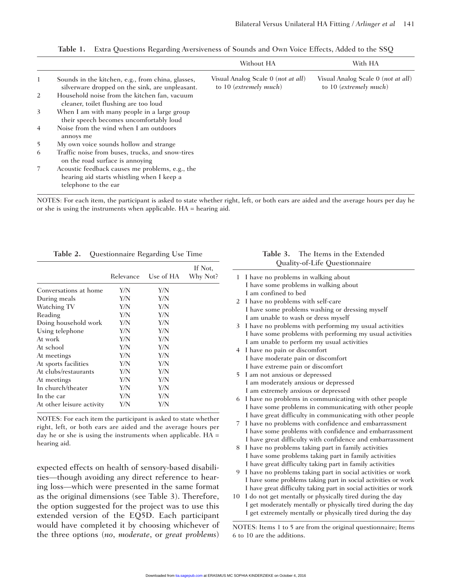|                |                                                                                                                       | Without HA                                                   | With HA                                                      |
|----------------|-----------------------------------------------------------------------------------------------------------------------|--------------------------------------------------------------|--------------------------------------------------------------|
| 1              | Sounds in the kitchen, e.g., from china, glasses,<br>silverware dropped on the sink, are unpleasant.                  | Visual Analog Scale 0 (not at all)<br>to 10 (extremely much) | Visual Analog Scale 0 (not at all)<br>to 10 (extremely much) |
| 2              | Household noise from the kitchen fan, vacuum<br>cleaner, toilet flushing are too loud                                 |                                                              |                                                              |
| 3              | When I am with many people in a large group<br>their speech becomes uncomfortably loud                                |                                                              |                                                              |
| $\overline{4}$ | Noise from the wind when I am outdoors<br>annoys me                                                                   |                                                              |                                                              |
| 5              | My own voice sounds hollow and strange                                                                                |                                                              |                                                              |
| 6              | Traffic noise from buses, trucks, and snow-tires<br>on the road surface is annoying                                   |                                                              |                                                              |
| $\overline{7}$ | Acoustic feedback causes me problems, e.g., the<br>hearing aid starts whistling when I keep a<br>telephone to the ear |                                                              |                                                              |

**Table 1.** Extra Questions Regarding Aversiveness of Sounds and Own Voice Effects, Added to the SSQ

NOTES: For each item, the participant is asked to state whether right, left, or both ears are aided and the average hours per day he or she is using the instruments when applicable. HA = hearing aid.

**Table 2.** Questionnaire Regarding Use Time

|                           | <b>Relevance</b> | Use of HA | If Not,<br>Why Not? |
|---------------------------|------------------|-----------|---------------------|
| Conversations at home     | Y/N              | Y/N       |                     |
| During meals              | Y/N              | Y/N       |                     |
| Watching TV               | Y/N              | Y/N       |                     |
| Reading                   | Y/N              | Y/N       |                     |
| Doing household work      | Y/N              | Y/N       |                     |
| Using telephone           | Y/N              | Y/N       |                     |
| At work                   | Y/N              | Y/N       |                     |
| At school                 | Y/N              | Y/N       |                     |
| At meetings               | Y/N              | Y/N       |                     |
| At sports facilities      | Y/N              | Y/N       |                     |
| At clubs/restaurants      | Y/N              | Y/N       |                     |
| At meetings               | Y/N              | Y/N       |                     |
| In church/theater         | Y/N              | Y/N       |                     |
| In the car                | Y/N              | Y/N       |                     |
| At other leisure activity | Y/N              | Y/N       |                     |

NOTES: For each item the participant is asked to state whether right, left, or both ears are aided and the average hours per day he or she is using the instruments when applicable. HA = hearing aid.

expected effects on health of sensory-based disabilities—though avoiding any direct reference to hearing loss—which were presented in the same format as the original dimensions (see Table 3). Therefore, the option suggested for the project was to use this extended version of the EQ5D. Each participant would have completed it by choosing whichever of the three options (*no*, *moderate*, or *great problems*)

#### **Table 3.** The Items in the Extended Quality-of-Life Questionnaire

| 1  | I have no problems in walking about                              |  |  |  |
|----|------------------------------------------------------------------|--|--|--|
|    | I have some problems in walking about                            |  |  |  |
|    | I am confined to bed                                             |  |  |  |
| 2  | I have no problems with self-care                                |  |  |  |
|    | I have some problems washing or dressing myself                  |  |  |  |
|    | I am unable to wash or dress myself                              |  |  |  |
| 3  | I have no problems with performing my usual activities           |  |  |  |
|    | I have some problems with performing my usual activities         |  |  |  |
|    | I am unable to perform my usual activities                       |  |  |  |
| 4  | I have no pain or discomfort                                     |  |  |  |
|    | I have moderate pain or discomfort                               |  |  |  |
|    | I have extreme pain or discomfort                                |  |  |  |
| 5  | I am not anxious or depressed                                    |  |  |  |
|    | I am moderately anxious or depressed                             |  |  |  |
|    | I am extremely anxious or depressed                              |  |  |  |
| 6  | I have no problems in communicating with other people            |  |  |  |
|    | I have some problems in communicating with other people          |  |  |  |
|    | I have great difficulty in communicating with other people       |  |  |  |
| 7  | I have no problems with confidence and embarrassment             |  |  |  |
|    | I have some problems with confidence and embarrassment           |  |  |  |
|    | I have great difficulty with confidence and embarrassment        |  |  |  |
| 8  | I have no problems taking part in family activities              |  |  |  |
|    | I have some problems taking part in family activities            |  |  |  |
|    | I have great difficulty taking part in family activities         |  |  |  |
| 9  | I have no problems taking part in social activities or work      |  |  |  |
|    | I have some problems taking part in social activities or work    |  |  |  |
|    | I have great difficulty taking part in social activities or work |  |  |  |
| 10 | I do not get mentally or physically tired during the day         |  |  |  |
|    | I get moderately mentally or physically tired during the day     |  |  |  |
|    | I get extremely mentally or physically tired during the day      |  |  |  |

NOTES: Items 1 to 5 are from the original questionnaire; Items 6 to 10 are the additions.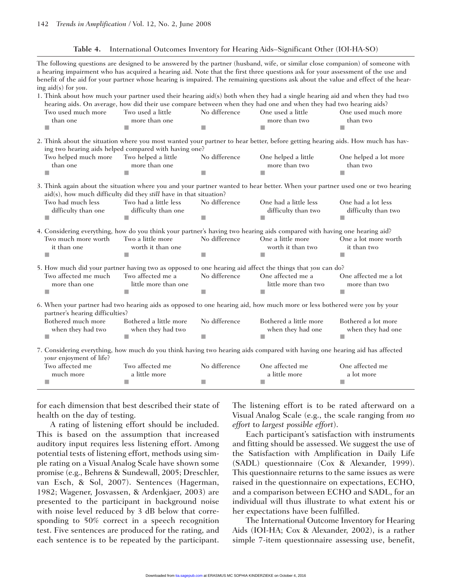**Table 4.** International Outcomes Inventory for Hearing Aids–Significant Other (IOI-HA-SO)

The following questions are designed to be answered by the partner (husband, wife, or similar close companion) of someone with a hearing impairment who has acquired a hearing aid. Note that the first three questions ask for your assessment of the use and benefit of the aid for your partner whose hearing is impaired. The remaining questions ask about the value and effect of the hearing aid(s) for *you*.

|                              |                                                                                                                                                                                                         |                                                       |               |                                                                                                                                                                    | 1. Think about how much your partner used their hearing aid(s) both when they had a single hearing aid and when they had two   |
|------------------------------|---------------------------------------------------------------------------------------------------------------------------------------------------------------------------------------------------------|-------------------------------------------------------|---------------|--------------------------------------------------------------------------------------------------------------------------------------------------------------------|--------------------------------------------------------------------------------------------------------------------------------|
| than one                     | Two used much more                                                                                                                                                                                      | Two used a little<br>more than one                    | No difference | hearing aids. On average, how did their use compare between when they had one and when they had two hearing aids?<br>One used a little<br>more than two            | One used much more<br>than two                                                                                                 |
| ■                            |                                                                                                                                                                                                         |                                                       | m.            |                                                                                                                                                                    |                                                                                                                                |
|                              |                                                                                                                                                                                                         | ing two hearing aids helped compared with having one? |               |                                                                                                                                                                    | 2. Think about the situation where you most wanted your partner to hear better, before getting hearing aids. How much has hav- |
| than one                     | Two helped much more                                                                                                                                                                                    | Two helped a little<br>more than one                  | No difference | One helped a little<br>more than two                                                                                                                               | One helped a lot more<br>than two                                                                                              |
|                              |                                                                                                                                                                                                         |                                                       |               |                                                                                                                                                                    |                                                                                                                                |
|                              | 3. Think again about the situation where you and your partner wanted to hear better. When your partner used one or two hearing<br>$aid(s)$ , how much difficulty did they still have in that situation? |                                                       |               |                                                                                                                                                                    |                                                                                                                                |
|                              | Two had much less<br>difficulty than one                                                                                                                                                                | Two had a little less<br>difficulty than one          | No difference | One had a little less<br>difficulty than two                                                                                                                       | One had a lot less<br>difficulty than two                                                                                      |
| П                            |                                                                                                                                                                                                         |                                                       | n.            |                                                                                                                                                                    |                                                                                                                                |
| it than one                  | Two much more worth                                                                                                                                                                                     | Two a little more<br>worth it than one                | No difference | 4. Considering everything, how do you think your partner's having two hearing aids compared with having one hearing aid?<br>One a little more<br>worth it than two | One a lot more worth<br>it than two                                                                                            |
| ш                            |                                                                                                                                                                                                         |                                                       | m.            | m.                                                                                                                                                                 |                                                                                                                                |
|                              | Two affected me much<br>more than one                                                                                                                                                                   | Two affected me a<br>little more than one             | No difference | 5. How much did your partner having two as opposed to one hearing aid affect the things that you can do?<br>One affected me a<br>little more than two              | One affected me a lot<br>more than two                                                                                         |
| п                            |                                                                                                                                                                                                         |                                                       | m.            |                                                                                                                                                                    |                                                                                                                                |
|                              | 6. When your partner had two hearing aids as opposed to one hearing aid, how much more or less bothered were you by your<br>partner's hearing difficulties?                                             |                                                       |               |                                                                                                                                                                    |                                                                                                                                |
|                              | Bothered much more<br>when they had two                                                                                                                                                                 | Bothered a little more<br>when they had two           | No difference | Bothered a little more<br>when they had one                                                                                                                        | Bothered a lot more<br>when they had one                                                                                       |
|                              |                                                                                                                                                                                                         |                                                       | m.            |                                                                                                                                                                    |                                                                                                                                |
|                              | 7. Considering everything, how much do you think having two hearing aids compared with having one hearing aid has affected<br>your enjoyment of life?                                                   |                                                       |               |                                                                                                                                                                    |                                                                                                                                |
| Two affected me<br>much more |                                                                                                                                                                                                         | Two affected me<br>a little more                      | No difference | One affected me<br>a little more                                                                                                                                   | One affected me<br>a lot more                                                                                                  |
| ш                            |                                                                                                                                                                                                         | ш                                                     |               | ш                                                                                                                                                                  | ш                                                                                                                              |

for each dimension that best described their state of health on the day of testing.

A rating of listening effort should be included. This is based on the assumption that increased auditory input requires less listening effort. Among potential tests of listening effort, methods using simple rating on a Visual Analog Scale have shown some promise (e.g., Behrens & Sundewall, 2005; Dreschler, van Esch, & Sol, 2007). Sentences (Hagerman, 1982; Wagener, Josvassen, & Ardenkjaer, 2003) are presented to the participant in background noise with noise level reduced by 3 dB below that corresponding to 50% correct in a speech recognition test. Five sentences are produced for the rating, and each sentence is to be repeated by the participant.

The listening effort is to be rated afterward on a Visual Analog Scale (e.g., the scale ranging from *no effort* to *largest possible effort*).

Each participant's satisfaction with instruments and fitting should be assessed. We suggest the use of the Satisfaction with Amplification in Daily Life (SADL) questionnaire (Cox & Alexander, 1999). This questionnaire returns to the same issues as were raised in the questionnaire on expectations, ECHO, and a comparison between ECHO and SADL, for an individual will thus illustrate to what extent his or her expectations have been fulfilled.

The International Outcome Inventory for Hearing Aids (IOI-HA; Cox & Alexander, 2002), is a rather simple 7-item questionnaire assessing use, benefit,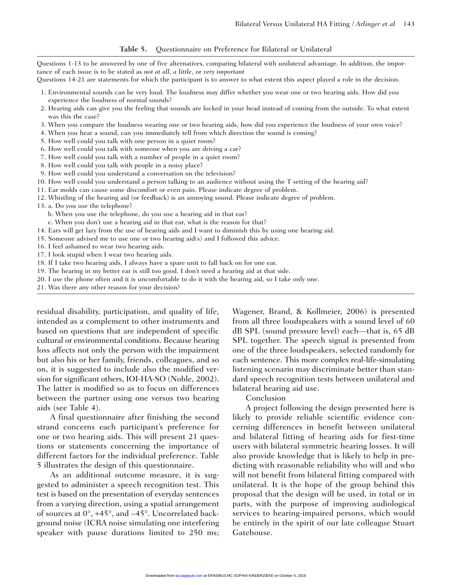**Table 5.** Questionnaire on Preference for Bilateral or Unilateral

Questions 1-13 to be answered by one of five alternatives, comparing bilateral with unilateral advantage. In addition, the importance of each issue is to be stated as *not at all*, *a little*, or *very important*

Questions 14-21 are statements for which the participant is to answer to what extent this aspect played a role in the decision.

- 1. Environmental sounds can be very loud. The loudness may differ whether you wear one or two hearing aids. How did you experience the loudness of normal sounds?
- 2. Hearing aids can give you the feeling that sounds are locked in your head instead of coming from the outside. To what extent was this the case?
- 3. When you compare the loudness wearing one or two hearing aids, how did you experience the loudness of your own voice?
- 4. When you hear a sound, can you immediately tell from which direction the sound is coming?
- 5. How well could you talk with one person in a quiet room?
- 6. How well could you talk with someone when you are driving a car?
- 7. How well could you talk with a number of people in a quiet room?
- 8. How well could you talk with people in a noisy place?
- 9. How well could you understand a conversation on the television?
- 10. How well could you understand a person talking to an audience without using the T setting of the hearing aid?
- 11. Ear molds can cause some discomfort or even pain. Please indicate degree of problem.
- 12. Whistling of the hearing aid (or feedback) is an annoying sound. Please indicate degree of problem.
- 13. a. Do you use the telephone?
	- b. When you use the telephone, do you use a hearing aid in that ear?
	- c. When you don't use a hearing aid in that ear, what is the reason for that?
- 14. Ears will get lazy from the use of hearing aids and I want to diminish this by using one hearing aid.
- 15. Someone advised me to use one or two hearing aid(s) and I followed this advice.
- 16. I feel ashamed to wear two hearing aids.
- 17. I look stupid when I wear two hearing aids.
- 18. If I take two hearing aids, I always have a spare unit to fall back on for one ear.
- 19. The hearing in my better ear is still too good. I don't need a hearing aid at that side.
- 20. I use the phone often and it is uncomfortable to do it with the hearing aid, so I take only one.
- 21. Was there any other reason for your decision?

residual disability, participation, and quality of life, intended as a complement to other instruments and based on questions that are independent of specific cultural or environmental conditions. Because hearing loss affects not only the person with the impairment but also his or her family, friends, colleagues, and so on, it is suggested to include also the modified version for significant others, IOI-HA-SO (Noble, 2002). The latter is modified so as to focus on differences between the partner using one versus two hearing aids (see Table 4).

A final questionnaire after finishing the second strand concerns each participant's preference for one or two hearing aids. This will present 21 questions or statements concerning the importance of different factors for the individual preference. Table 5 illustrates the design of this questionnaire.

As an additional outcome measure, it is suggested to administer a speech recognition test. This test is based on the presentation of everyday sentences from a varying direction, using a spatial arrangement of sources at 0°, +45°, and –45°. Uncorrelated background noise (ICRA noise simulating one interfering speaker with pause durations limited to 250 ms; Wagener, Brand, & Kollmeier, 2006) is presented from all three loudspeakers with a sound level of 60 dB SPL (sound pressure level) each—that is, 65 dB SPL together. The speech signal is presented from one of the three loudspeakers, selected randomly for each sentence. This more complex real-life-simulating listening scenario may discriminate better than standard speech recognition tests between unilateral and bilateral hearing aid use.

## Conclusion

A project following the design presented here is likely to provide reliable scientific evidence concerning differences in benefit between unilateral and bilateral fitting of hearing aids for first-time users with bilateral symmetric hearing losses. It will also provide knowledge that is likely to help in predicting with reasonable reliability who will and who will not benefit from bilateral fitting compared with unilateral. It is the hope of the group behind this proposal that the design will be used, in total or in parts, with the purpose of improving audiological services to hearing-impaired persons, which would be entirely in the spirit of our late colleague Stuart Gatehouse.